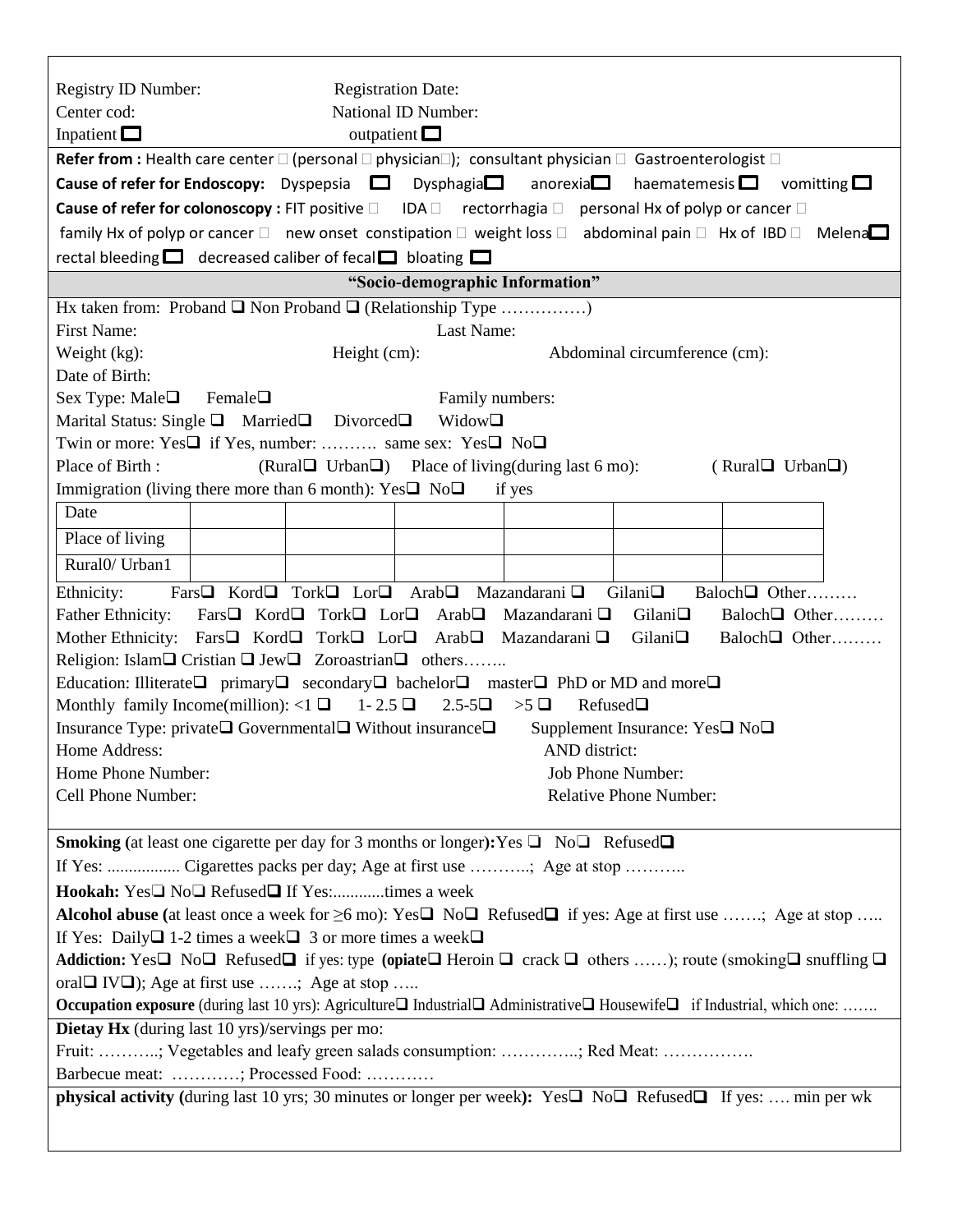| Registry ID Number:<br><b>Registration Date:</b><br>National ID Number:<br>Center cod:                                                                                             |
|------------------------------------------------------------------------------------------------------------------------------------------------------------------------------------|
| Inpatient $\Box$<br>outpatient $\Box$                                                                                                                                              |
| Refer from : Health care center $\square$ (personal $\square$ physician $\square$ ); consultant physician $\square$ Gastroenterologist $\square$                                   |
| <b>Cause of refer for Endoscopy:</b> Dyspepsia $\Box$ Dysphagia $\Box$ anorexia $\Box$<br>haematemesis $\Box$<br>vomitting $\square$                                               |
| <b>Cause of refer for colonoscopy:</b> FIT positive $\square$ IDA $\square$ rectorrhagia $\square$ personal Hx of polyp or cancer $\square$                                        |
| family Hx of polyp or cancer $\Box$ new onset constipation $\Box$ weight loss $\Box$ abdominal pain $\Box$ Hx of IBD $\Box$ Melena $\Box$                                          |
| rectal bleeding $\Box$ decreased caliber of fecal $\Box$ bloating $\Box$                                                                                                           |
| "Socio-demographic Information"                                                                                                                                                    |
| Hx taken from: Proband $\Box$ Non Proband $\Box$ (Relationship Type )                                                                                                              |
| <b>First Name:</b><br>Last Name:                                                                                                                                                   |
| Weight (kg):<br>Abdominal circumference (cm):<br>Height (cm):                                                                                                                      |
| Date of Birth:                                                                                                                                                                     |
| Sex Type: Male $\Box$<br>Family numbers:<br>Female $\Box$                                                                                                                          |
| Marital Status: Single $\Box$ Married $\Box$ Divorced $\Box$<br>Widow□                                                                                                             |
| Twin or more: Yes□ if Yes, number:  same sex: Yes□ No□                                                                                                                             |
| Place of Birth:<br>(Rural Urban $\Box$ ) Place of living (during last 6 mo):<br>(RuralUrban)                                                                                       |
| Immigration (living there more than 6 month): $Yes \Box No \Box$<br>if yes                                                                                                         |
| Date                                                                                                                                                                               |
| Place of living                                                                                                                                                                    |
| Rural <sub>0</sub> / Urban <sub>1</sub>                                                                                                                                            |
| Fars <sup>I</sup> Kord <sup>I</sup> Tork <sup>I</sup> Lor <sup>I</sup> Arab <sub>I</sub> Mazandarani <sup>I</sup><br>Gilani<br>Baloch $\Box$ Other<br>Ethnicity:                   |
| Fars□ Kord□ Tork□ Lor□ Arab□<br>Mazandarani $\square$<br>Gilani<br>Baloch $\Box$ Other<br><b>Father Ethnicity:</b>                                                                 |
| Mother Ethnicity: Fars□ Kord□ Tork□ Lor□<br>Arab $\Box$<br>Mazandarani $\square$<br>Gilani<br>Baloch□ Other                                                                        |
| Religion: Islam□ Cristian □ Jew□ Zoroastrian □ others                                                                                                                              |
| Education: Illiterate□ primary□ secondary□ bachelor□ master□ PhD or MD and more□                                                                                                   |
| Refused□<br>Monthly family Income(million): <1 $\Box$ 1-2.5 $\Box$<br>$2.5 - 5\Box$<br>$>5$ $\Box$                                                                                 |
| Insurance Type: private□ Governmental□ Without insurance□<br>Supplement Insurance: Yes□ No□                                                                                        |
| Home Address:<br>AND district:                                                                                                                                                     |
| Home Phone Number:<br>Job Phone Number:                                                                                                                                            |
| <b>Relative Phone Number:</b><br>Cell Phone Number:                                                                                                                                |
|                                                                                                                                                                                    |
| <b>Smoking</b> (at least one cigarette per day for 3 months or longer): Yes $\Box$ No $\Box$ Refused $\Box$                                                                        |
| If Yes:  Cigarettes packs per day; Age at first use ; Age at stop                                                                                                                  |
| Hookah: Yes□ No□ Refused□ If Yes:times a week                                                                                                                                      |
| Alcohol abuse (at least once a week for $\geq 6$ mo): Yes $\square$ No $\square$ Refused $\square$ if yes: Age at first use ; Age at stop                                          |
| If Yes: Daily $\Box$ 1-2 times a week $\Box$ 3 or more times a week $\Box$                                                                                                         |
| Addiction: Yes $\Box$ No $\Box$ Refused $\Box$ if yes: type (opiate $\Box$ Heroin $\Box$ crack $\Box$ others ); route (smoking $\Box$ snuffling $\Box$                             |
| oral $\Box$ IV $\Box$ ); Age at first use ; Age at stop<br>Occupation exposure (during last 10 yrs): Agriculture□ Industrial□ Administrative□ Housewife□ if Industrial, which one: |
| Dietay Hx (during last 10 yrs)/servings per mo:                                                                                                                                    |
| Fruit: ; Vegetables and leafy green salads consumption: ; Red Meat:                                                                                                                |
| Barbecue meat: ; Processed Food:                                                                                                                                                   |
| physical activity (during last 10 yrs; 30 minutes or longer per week): Yes <sup>1</sup> No <sup>1</sup> Refused <sup>1</sup> If yes:  min per wk                                   |
|                                                                                                                                                                                    |
|                                                                                                                                                                                    |

 $\overline{1}$ 

 $\overline{\mathbf{1}}$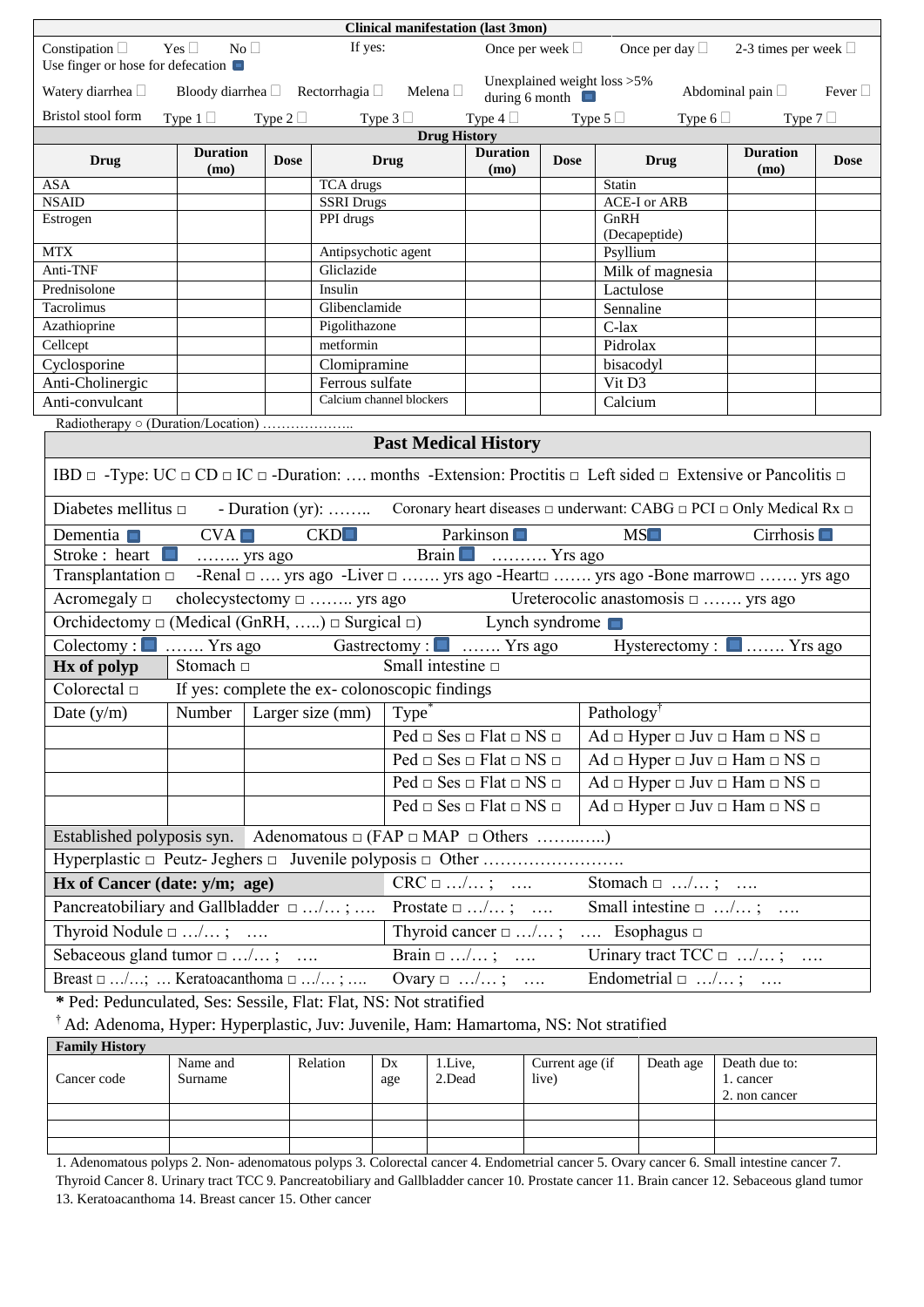|                                                                                              | <b>Clinical manifestation (last 3mon)</b> |             |                                                                                                                                                                                                                                                                                        |                                                                                           |             |                                                                       |                             |              |  |  |  |
|----------------------------------------------------------------------------------------------|-------------------------------------------|-------------|----------------------------------------------------------------------------------------------------------------------------------------------------------------------------------------------------------------------------------------------------------------------------------------|-------------------------------------------------------------------------------------------|-------------|-----------------------------------------------------------------------|-----------------------------|--------------|--|--|--|
| Constipation $\Box$ Yes $\Box$ No $\Box$<br>Use finger or hose for defecation $\blacksquare$ |                                           |             | If yes:                                                                                                                                                                                                                                                                                | Once per week $\Box$                                                                      |             | Once per day $\Box$ 2-3 times per week $\Box$                         |                             |              |  |  |  |
| Watery diarrhea $\square$                                                                    |                                           |             | Bloody diarrhea <u>D</u> Rectorrhagia D Melena D                                                                                                                                                                                                                                       | during 6 month $\Box$                                                                     |             | Unexplained weight loss >5%                                           | Abdominal pain $\square$    | Fever $\Box$ |  |  |  |
| Bristol stool form                                                                           | Type $1 \Box$ Type $2 \Box$               |             | Type $3 \Box$                                                                                                                                                                                                                                                                          | Type 4 $\Box$ Type 5 $\Box$                                                               |             |                                                                       | Type 6 $\Box$ Type 7 $\Box$ |              |  |  |  |
|                                                                                              |                                           |             | <b>Drug History</b>                                                                                                                                                                                                                                                                    |                                                                                           |             |                                                                       |                             |              |  |  |  |
| Drug                                                                                         | <b>Duration</b><br>(mo)                   | <b>Dose</b> | <b>Drug</b>                                                                                                                                                                                                                                                                            | <b>Duration</b><br>(mo)                                                                   | <b>Dose</b> | <b>Drug</b>                                                           | <b>Duration</b><br>(mo)     | <b>Dose</b>  |  |  |  |
| <b>ASA</b>                                                                                   |                                           |             | <b>TCA</b> drugs                                                                                                                                                                                                                                                                       |                                                                                           |             | Statin                                                                |                             |              |  |  |  |
| <b>NSAID</b>                                                                                 |                                           |             | <b>SSRI Drugs</b>                                                                                                                                                                                                                                                                      |                                                                                           |             | <b>ACE-I</b> or ARB                                                   |                             |              |  |  |  |
| Estrogen                                                                                     |                                           |             | PPI drugs                                                                                                                                                                                                                                                                              |                                                                                           |             | GnRH<br>(Decapeptide)                                                 |                             |              |  |  |  |
| <b>MTX</b>                                                                                   |                                           |             | Antipsychotic agent                                                                                                                                                                                                                                                                    |                                                                                           |             | Psyllium                                                              |                             |              |  |  |  |
| Anti-TNF                                                                                     |                                           |             | Gliclazide                                                                                                                                                                                                                                                                             |                                                                                           |             | Milk of magnesia                                                      |                             |              |  |  |  |
| Prednisolone                                                                                 |                                           |             | Insulin                                                                                                                                                                                                                                                                                |                                                                                           |             | Lactulose                                                             |                             |              |  |  |  |
| Tacrolimus                                                                                   |                                           |             | Glibenclamide                                                                                                                                                                                                                                                                          |                                                                                           |             | Sennaline                                                             |                             |              |  |  |  |
| Azathioprine                                                                                 |                                           |             | Pigolithazone                                                                                                                                                                                                                                                                          |                                                                                           |             | C-lax                                                                 |                             |              |  |  |  |
| Cellcept                                                                                     |                                           |             | metformin                                                                                                                                                                                                                                                                              |                                                                                           |             | Pidrolax                                                              |                             |              |  |  |  |
| Cyclosporine                                                                                 |                                           |             | Clomipramine                                                                                                                                                                                                                                                                           |                                                                                           |             | bisacodyl                                                             |                             |              |  |  |  |
| Anti-Cholinergic                                                                             |                                           |             | Ferrous sulfate                                                                                                                                                                                                                                                                        |                                                                                           |             | Vit D3                                                                |                             |              |  |  |  |
| Anti-convulcant                                                                              |                                           |             | Calcium channel blockers                                                                                                                                                                                                                                                               |                                                                                           |             | Calcium                                                               |                             |              |  |  |  |
|                                                                                              |                                           |             |                                                                                                                                                                                                                                                                                        |                                                                                           |             |                                                                       |                             |              |  |  |  |
|                                                                                              |                                           |             | <b>Past Medical History</b>                                                                                                                                                                                                                                                            |                                                                                           |             |                                                                       |                             |              |  |  |  |
|                                                                                              |                                           |             | IBD $\Box$ -Type: UC $\Box$ CD $\Box$ IC $\Box$ -Duration:  months -Extension: Proctitis $\Box$ Left sided $\Box$ Extensive or Pancolitis $\Box$<br>Diabetes mellitus $\Box$ - Duration (yr):  Coronary heart diseases $\Box$ underwant: CABG $\Box$ PCI $\Box$ Only Medical Rx $\Box$ |                                                                                           |             |                                                                       |                             |              |  |  |  |
|                                                                                              |                                           |             |                                                                                                                                                                                                                                                                                        |                                                                                           |             |                                                                       |                             |              |  |  |  |
| Dementia $\blacksquare$<br>Stroke : heart                                                    | CVA                                       |             | CKD<br>Brain Brain Francisco Strategie                                                                                                                                                                                                                                                 | Parkinson                                                                                 |             | MS                                                                    | Cirrhosis $\Box$            |              |  |  |  |
|                                                                                              |                                           |             | Transplantation □ -Renal □  yrs ago -Liver □  yrs ago -Heart□  yrs ago -Bone marrow□  yrs ago                                                                                                                                                                                          |                                                                                           |             |                                                                       |                             |              |  |  |  |
| Acromegaly $\Box$                                                                            |                                           |             | cholecystectomy $\Box$ yrs ago<br>Ureterocolic anastomosis $\Box$ yrs ago                                                                                                                                                                                                              |                                                                                           |             |                                                                       |                             |              |  |  |  |
|                                                                                              |                                           |             | Orchidectomy $\Box$ (Medical (GnRH, ) $\Box$ Surgical $\Box$ ) Lynch syndrome                                                                                                                                                                                                          |                                                                                           |             |                                                                       |                             |              |  |  |  |
|                                                                                              |                                           |             | Colectomy : No. 1. Yrs ago Gastrectomy : No. 1. Yrs ago Hysterectomy : No. 1. Yrs ago                                                                                                                                                                                                  |                                                                                           |             |                                                                       |                             |              |  |  |  |
| Hx of polyp                                                                                  | Stomach $\Box$                            |             | Small intestine $\square$                                                                                                                                                                                                                                                              |                                                                                           |             |                                                                       |                             |              |  |  |  |
|                                                                                              |                                           |             | Colorectal $\Box$ If yes: complete the ex-colonoscopic findings                                                                                                                                                                                                                        |                                                                                           |             |                                                                       |                             |              |  |  |  |
| Date $(y/m)$                                                                                 |                                           |             | Number   Larger size (mm) $\boxed{\text{Type}}^*$                                                                                                                                                                                                                                      |                                                                                           |             | Pathology                                                             |                             |              |  |  |  |
|                                                                                              |                                           |             |                                                                                                                                                                                                                                                                                        | $Ped \Box$ Ses $\Box$ Flat $\Box$ NS $\Box$                                               |             | $Ad \square$ Hyper $\square$ Juv $\square$ Ham $\square$ NS $\square$ |                             |              |  |  |  |
|                                                                                              |                                           |             |                                                                                                                                                                                                                                                                                        | $Ped \Box$ Ses $\Box$ Flat $\Box$ NS $\Box$                                               |             | $Ad \square$ Hyper $\square$ Juv $\square$ Ham $\square$ NS $\square$ |                             |              |  |  |  |
|                                                                                              |                                           |             |                                                                                                                                                                                                                                                                                        | $\overline{\text{Ped}} \square \overline{\text{Ses}} \square$ Flat $\square$ NS $\square$ |             | $Ad \square$ Hyper $\square$ Juv $\square$ Ham $\square$ NS $\square$ |                             |              |  |  |  |
|                                                                                              |                                           |             |                                                                                                                                                                                                                                                                                        | $Ped \Box$ Ses $\Box$ Flat $\Box$ NS $\Box$                                               |             | $Ad \square$ Hyper $\square$ Juv $\square$ Ham $\square$ NS $\square$ |                             |              |  |  |  |
|                                                                                              |                                           |             | Established polyposis syn. Adenomatous $\Box$ (FAP $\Box$ MAP $\Box$ Others )                                                                                                                                                                                                          |                                                                                           |             |                                                                       |                             |              |  |  |  |
|                                                                                              |                                           |             | Hyperplastic □ Peutz- Jeghers □ Juvenile polyposis □ Other                                                                                                                                                                                                                             |                                                                                           |             |                                                                       |                             |              |  |  |  |
| Hx of Cancer (date: $y/m$ ; age)                                                             |                                           |             |                                                                                                                                                                                                                                                                                        | $CRC \sqcup /$ ;                                                                          |             | Stomach $\Box$ /;                                                     |                             |              |  |  |  |
| Pancreatobiliary and Gallbladder $\Box$ ;                                                    |                                           |             |                                                                                                                                                                                                                                                                                        | Prostate $\Box$ /;                                                                        |             | Small intestine $\Box$ $\ldots$ ;                                     |                             |              |  |  |  |
| Thyroid Nodule $\Box$ /;                                                                     |                                           |             |                                                                                                                                                                                                                                                                                        | Thyroid cancer $\Box$ /;                                                                  |             | $\dots$ Esophagus $\Box$                                              |                             |              |  |  |  |
| Sebaceous gland tumor $\Box$ /;                                                              |                                           |             |                                                                                                                                                                                                                                                                                        | Brain $\Box$ /;                                                                           |             | Urinary tract $TCC \sqcup  / $ ;                                      |                             |              |  |  |  |
| Breast $\Box$ /;  Keratoacanthoma $\Box$ /;                                                  |                                           |             |                                                                                                                                                                                                                                                                                        | Ovary $\Box$ /;                                                                           |             | Endometrial $\Box$ /;                                                 |                             |              |  |  |  |
|                                                                                              |                                           |             | * Ped: Pedunculated, Ses: Sessile, Flat: Flat, NS: Not stratified                                                                                                                                                                                                                      |                                                                                           |             |                                                                       |                             |              |  |  |  |

† Ad: Adenoma, Hyper: Hyperplastic, Juv: Juvenile, Ham: Hamartoma, NS: Not stratified

| <b>Family History</b> |                     |          |           |                   |                          |           |                                             |  |  |  |  |
|-----------------------|---------------------|----------|-----------|-------------------|--------------------------|-----------|---------------------------------------------|--|--|--|--|
| Cancer code           | Name and<br>Surname | Relation | Dx<br>age | 1.Live.<br>2.Dead | Current age (if<br>live) | Death age | Death due to:<br>1. cancer<br>2. non cancer |  |  |  |  |
|                       |                     |          |           |                   |                          |           |                                             |  |  |  |  |
|                       |                     |          |           |                   |                          |           |                                             |  |  |  |  |
|                       |                     |          |           |                   |                          |           |                                             |  |  |  |  |

1. Adenomatous polyps 2. Non- adenomatous polyps 3. Colorectal cancer 4. Endometrial cancer 5. Ovary cancer 6. Small intestine cancer 7. Thyroid Cancer 8. Urinary tract TCC 9. Pancreatobiliary and Gallbladder cancer 10. Prostate cancer 11. Brain cancer 12. Sebaceous gland tumor 13. Keratoacanthoma 14. Breast cancer 15. Other cancer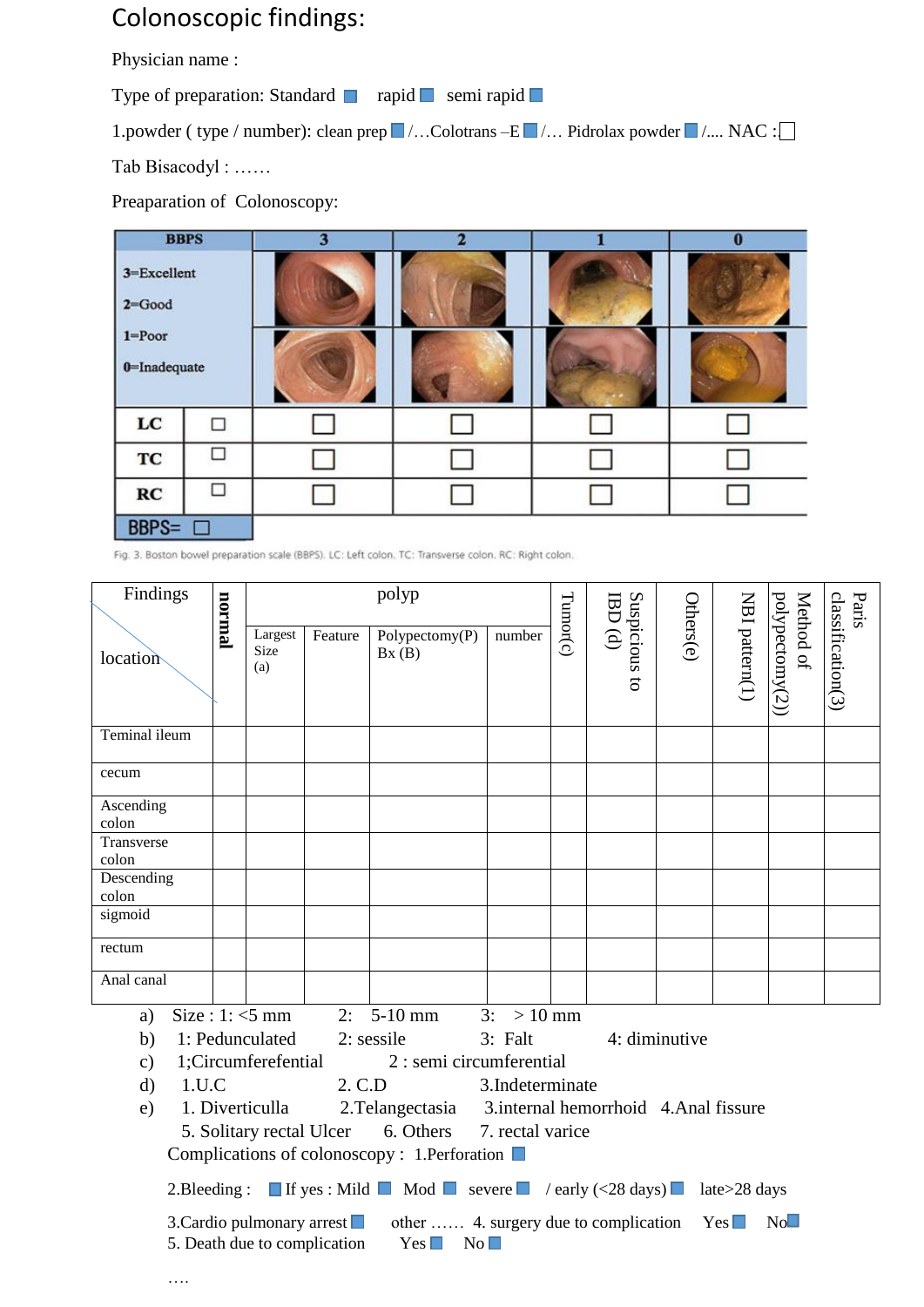## Colonoscopic findings:

Physician name :

Type of preparation: Standard ■ rapid ■ semi rapid ■

1.powder ( type / number): clean prep  $\blacksquare$  /... Colotrans -E  $\blacksquare$  /... Pidrolax powder  $\blacksquare$  /.... NAC : $\Box$ Tab Bisacodyl : ……

Preaparation of Colonoscopy:

| <b>BBPS</b>                                              |        | 3 | 2 | 0 |  |
|----------------------------------------------------------|--------|---|---|---|--|
| 3=Excellent<br>$2 = Good$<br>$1 = P0$<br>$0$ =Inadequate |        |   |   |   |  |
|                                                          |        |   |   |   |  |
| $_{\rm LC}$                                              |        |   |   |   |  |
| TC                                                       | $\Box$ |   |   |   |  |
| RC                                                       |        |   |   |   |  |
| <b>BBPS=</b>                                             |        |   |   |   |  |

Fig. 3. Boston bowel preparation scale (BBPS). LC: Left colon. TC: Transverse colon. RC: Right colon.

| Findings              | lamion |                                             |                              | polyp                                                                                                                   |                 |          |                          |               | Paris          |                              |                   |
|-----------------------|--------|---------------------------------------------|------------------------------|-------------------------------------------------------------------------------------------------------------------------|-----------------|----------|--------------------------|---------------|----------------|------------------------------|-------------------|
| location              |        | Largest<br>Size<br>(a)                      | Feature                      | Polypectomy(P)<br>Bx(B)                                                                                                 | number          | Tumor(c) | Suspicious to<br>IBD (d) | Others(e)     | NBI pattern(1) | polypectomy(2))<br>Method of | classification(3) |
| Teminal ileum         |        |                                             |                              |                                                                                                                         |                 |          |                          |               |                |                              |                   |
| cecum                 |        |                                             |                              |                                                                                                                         |                 |          |                          |               |                |                              |                   |
| Ascending<br>colon    |        |                                             |                              |                                                                                                                         |                 |          |                          |               |                |                              |                   |
| Transverse<br>colon   |        |                                             |                              |                                                                                                                         |                 |          |                          |               |                |                              |                   |
| Descending<br>colon   |        |                                             |                              |                                                                                                                         |                 |          |                          |               |                |                              |                   |
| sigmoid               |        |                                             |                              |                                                                                                                         |                 |          |                          |               |                |                              |                   |
| rectum                |        |                                             |                              |                                                                                                                         |                 |          |                          |               |                |                              |                   |
| Anal canal            |        |                                             |                              |                                                                                                                         |                 |          |                          |               |                |                              |                   |
| a)                    |        | Size: $1: <5$ mm                            |                              | $2: 5-10$ mm                                                                                                            | $3: > 10$ mm    |          |                          |               |                |                              |                   |
| b)                    |        | 1: Pedunculated                             |                              | $2:$ sessile                                                                                                            | 3: Falt         |          |                          | 4: diminutive |                |                              |                   |
| $\mathbf{c})$         |        | 1;Circumferefential                         |                              | 2 : semi circumferential                                                                                                |                 |          |                          |               |                |                              |                   |
| 1.U.C<br>$\mathbf{d}$ |        |                                             | 2. C.D                       |                                                                                                                         | 3.Indeterminate |          |                          |               |                |                              |                   |
| e)                    |        | 1. Diverticulla<br>5. Solitary rectal Ulcer |                              | 2. Telangectasia 3. internal hemorrhoid 4. Anal fissure<br>6. Others 7. rectal varice                                   |                 |          |                          |               |                |                              |                   |
|                       |        |                                             |                              | Complications of colonoscopy : 1.Perforation ■                                                                          |                 |          |                          |               |                |                              |                   |
|                       |        |                                             |                              |                                                                                                                         |                 |          |                          |               |                |                              |                   |
|                       |        |                                             |                              | 2. Bleeding: If yes: Mild Mod Severe $\blacksquare$ / early (<28 days) late>28 days                                     |                 |          |                          |               |                |                              |                   |
|                       |        |                                             | 5. Death due to complication | 3. Cardio pulmonary arrest $\Box$ other  4. surgery due to complication Yes $\Box$<br>$Yes \Box$<br>$\mathrm{No}\,\Box$ |                 |          |                          |               |                | No                           |                   |
|                       |        |                                             |                              |                                                                                                                         |                 |          |                          |               |                |                              |                   |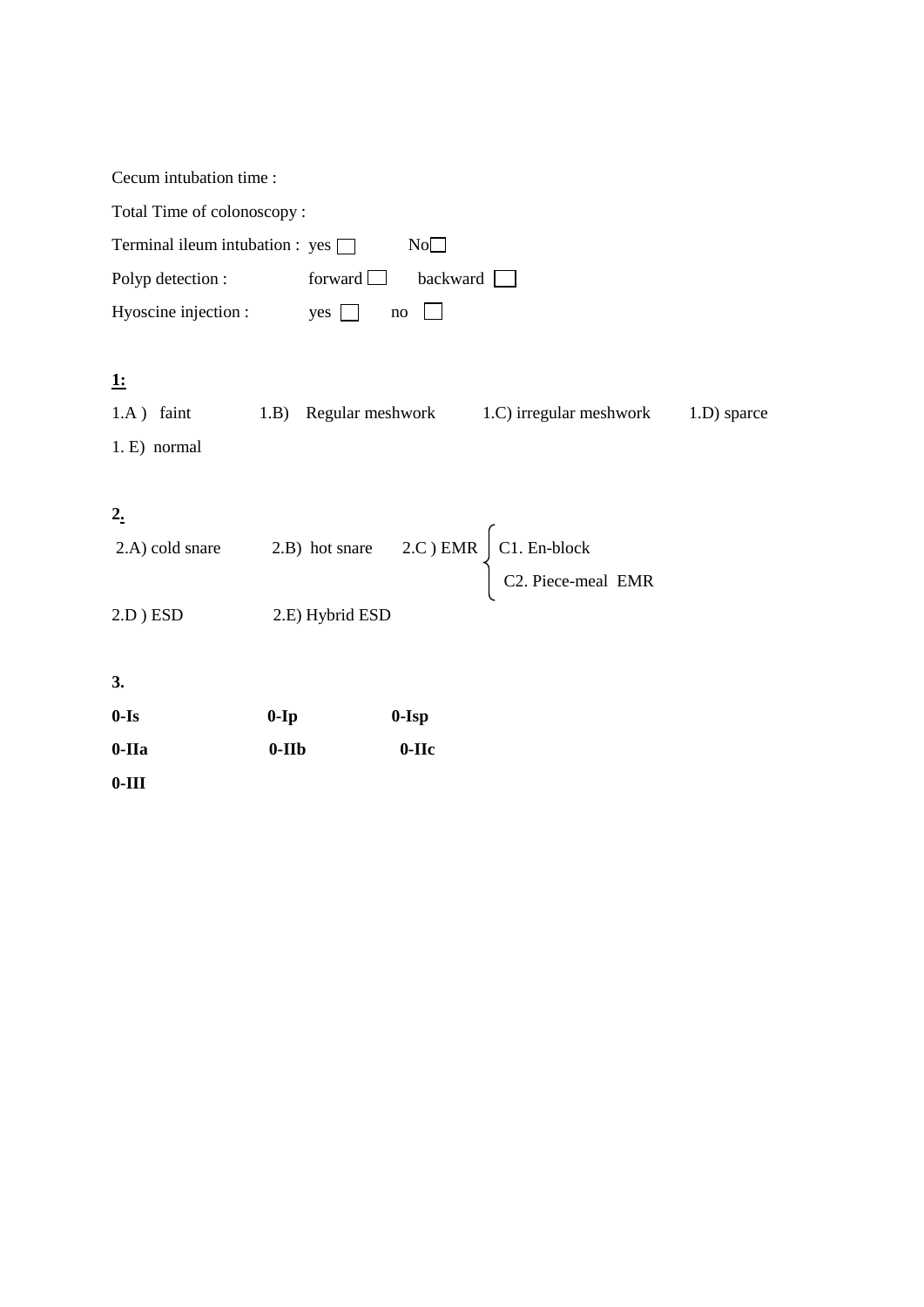| Cecum intubation time :                 |         |                 |                 |                                                                                                           |             |  |  |  |  |  |
|-----------------------------------------|---------|-----------------|-----------------|-----------------------------------------------------------------------------------------------------------|-------------|--|--|--|--|--|
| Total Time of colonoscopy:              |         |                 |                 |                                                                                                           |             |  |  |  |  |  |
| Terminal ileum intubation : $yes$<br>No |         |                 |                 |                                                                                                           |             |  |  |  |  |  |
| Polyp detection:                        |         | forward $\Box$  | backward $\Box$ |                                                                                                           |             |  |  |  |  |  |
| Hyoscine injection :                    |         | $yes \Box$      | $\rm no$        |                                                                                                           |             |  |  |  |  |  |
|                                         |         |                 |                 |                                                                                                           |             |  |  |  |  |  |
| <u>1:</u>                               |         |                 |                 |                                                                                                           |             |  |  |  |  |  |
| $1.A)$ faint                            |         |                 |                 | 1.B) Regular meshwork 1.C irregular meshwork                                                              | 1.D) sparce |  |  |  |  |  |
| 1. E) normal                            |         |                 |                 |                                                                                                           |             |  |  |  |  |  |
|                                         |         |                 |                 |                                                                                                           |             |  |  |  |  |  |
| $2_{\cdot}$                             |         |                 |                 |                                                                                                           |             |  |  |  |  |  |
| 2.A) cold snare                         |         |                 |                 | 2.B) hot snare $2.C$ ) EMR $\begin{cases} C1. \text{ En-block} \\ C2. \text{ Piece-méal EMR} \end{cases}$ |             |  |  |  |  |  |
|                                         |         |                 |                 |                                                                                                           |             |  |  |  |  |  |
| $2.D$ ) $ESD$                           |         | 2.E) Hybrid ESD |                 |                                                                                                           |             |  |  |  |  |  |
|                                         |         |                 |                 |                                                                                                           |             |  |  |  |  |  |
| 3.                                      |         |                 |                 |                                                                                                           |             |  |  |  |  |  |
| $0-Is$                                  | $0-Ip$  |                 | $0-Isp$         |                                                                                                           |             |  |  |  |  |  |
| $0-IIa$                                 | $0-IIb$ |                 | $0-IIc$         |                                                                                                           |             |  |  |  |  |  |
| $0-III$                                 |         |                 |                 |                                                                                                           |             |  |  |  |  |  |
|                                         |         |                 |                 |                                                                                                           |             |  |  |  |  |  |